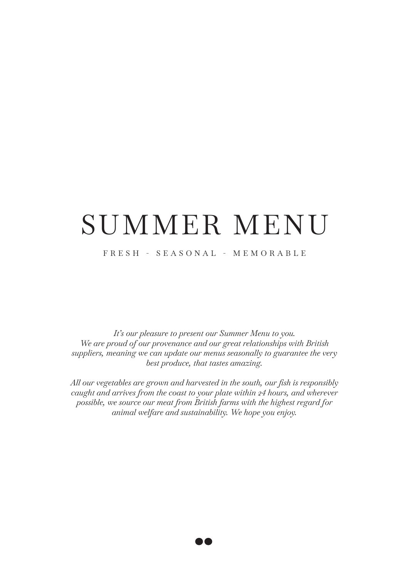# SUMMER MENU

#### FRESH - SEASONAL - MEMORABLE

*It's our pleasure to present our Summer Menu to you. We are proud of our provenance and our great relationships with British suppliers, meaning we can update our menus seasonally to guarantee the very best produce, that tastes amazing.* 

*All our vegetables are grown and harvested in the south, our fish is responsibly caught and arrives from the coast to your plate within 24 hours, and wherever possible, we source our meat from British farms with the highest regard for animal welfare and sustainability. We hope you enjoy.*

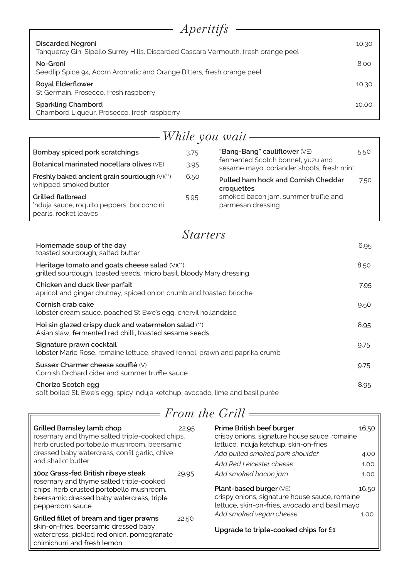| <i>Aperitifs</i>                                                                                               |       |
|----------------------------------------------------------------------------------------------------------------|-------|
|                                                                                                                |       |
| <b>Discarded Negroni</b><br>Tanqueray Gin, Sipello Surrey Hills, Discarded Cascara Vermouth, fresh orange peel | 10.30 |
| No-Groni<br>Seedlip Spice 94, Acorn Aromatic and Orange Bitters, fresh orange peel                             | 8.00  |
| <b>Royal Elderflower</b><br>St Germain, Prosecco, fresh raspberry                                              | 10.30 |
| <b>Sparkling Chambord</b><br>Chambord Liqueur, Prosecco, fresh raspberry                                       | 10.00 |

|                                                                                                |      | While you wait $-$                                                             |      |
|------------------------------------------------------------------------------------------------|------|--------------------------------------------------------------------------------|------|
|                                                                                                |      |                                                                                |      |
| Bombay spiced pork scratchings                                                                 | 3.75 | "Bang-Bang" cauliflower (VE)                                                   | 5.50 |
| Botanical marinated nocellara olives (VE)                                                      | 3.95 | fermented Scotch bonnet, yuzu and<br>sesame mayo, coriander shoots, fresh mint |      |
| Freshly baked ancient grain sourdough (V)(**)<br>whipped smoked butter                         | 6.50 | <b>Pulled ham hock and Cornish Cheddar</b><br>croquettes                       | 7.50 |
| <b>Grilled flatbread</b><br>'nduja sauce, roquito peppers, bocconcini<br>pearls, rocket leaves | 5.95 | smoked bacon jam, summer truffle and<br>parmesan dressing                      |      |

| <i>Starters</i>                                                                                                       |      |  |
|-----------------------------------------------------------------------------------------------------------------------|------|--|
| Homemade soup of the day<br>toasted sourdough, salted butter                                                          | 6.95 |  |
| Heritage tomato and goats cheese salad (V)(**)<br>grilled sourdough, toasted seeds, micro basil, bloody Mary dressing | 8.50 |  |
| Chicken and duck liver parfait<br>apricot and ginger chutney, spiced onion crumb and toasted brioche                  | 7.95 |  |
| Cornish crab cake<br>lobster cream sauce, poached St Ewe's egg, chervil hollandaise                                   | 9.50 |  |
| Hoi sin glazed crispy duck and watermelon salad (**)<br>Asian slaw, fermented red chilli, toasted sesame seeds        | 8.95 |  |
| Signature prawn cocktail<br>lobster Marie Rose, romaine lettuce, shaved fennel, prawn and paprika crumb               | 9.75 |  |
| Sussex Charmer cheese soufflé (V)<br>Cornish Orchard cider and summer truffle sauce                                   | 9.75 |  |
| Chorizo Scotch egg<br>soft boiled St. Ewe's egg, spicy 'nduja ketchup, avocado, lime and basil purée                  | 8.95 |  |

# *From the Grill*

| Grilled Barnsley lamb chop<br>rosemary and thyme salted triple-cooked chips,<br>herb crusted portobello mushroom, beersamic | 22.95 | Prime British beef burger<br>crispy onions, signature house sauce, romaine<br>lettuce, 'nduja ketchup, skin-on-fries                       | 16.50 |
|-----------------------------------------------------------------------------------------------------------------------------|-------|--------------------------------------------------------------------------------------------------------------------------------------------|-------|
| dressed baby watercress, confit garlic, chive<br>and shallot butter                                                         |       | Add pulled smoked pork shoulder                                                                                                            | 4.00  |
|                                                                                                                             |       | Add Red Leicester cheese                                                                                                                   | 1.00  |
| 100z Grass-fed British ribeye steak<br>rosemary and thyme salted triple-cooked                                              | 29.95 | Add smoked bacon jam                                                                                                                       | 1.00  |
| chips, herb crusted portobello mushroom,<br>beersamic dressed baby watercress, triple<br>peppercorn sauce                   |       | <b>Plant-based burger (VE)</b><br>16.50<br>crispy onions, signature house sauce, romaine<br>lettuce, skin-on-fries, avocado and basil mayo |       |
| Grilled fillet of bream and tiger prawns                                                                                    | 22.50 | Add smoked vegan cheese                                                                                                                    | 1.00  |
| skin-on-fries, beersamic dressed baby<br>watercress, pickled red onion, pomegranate<br>chimichurri and fresh lemon          |       | Upgrade to triple-cooked chips for £1                                                                                                      |       |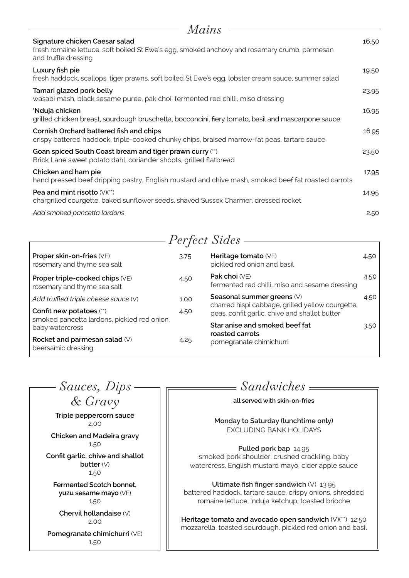| Mains                                                                                                                                                  |       |
|--------------------------------------------------------------------------------------------------------------------------------------------------------|-------|
| Signature chicken Caesar salad<br>fresh romaine lettuce, soft boiled St Ewe's egg, smoked anchovy and rosemary crumb, parmesan<br>and truffle dressing | 16.50 |
| Luxury fish pie<br>fresh haddock, scallops, tiger prawns, soft boiled St Ewe's egg, lobster cream sauce, summer salad                                  | 19.50 |
| Tamari glazed pork belly<br>wasabi mash, black sesame puree, pak choi, fermented red chilli, miso dressing                                             | 23.95 |
| 'Nduja chicken<br>grilled chicken breast, sourdough bruschetta, bocconcini, fiery tomato, basil and mascarpone sauce                                   | 16.95 |
| Cornish Orchard battered fish and chips<br>crispy battered haddock, triple-cooked chunky chips, braised marrow-fat peas, tartare sauce                 | 16.95 |
| Goan spiced South Coast bream and tiger prawn curry (")<br>Brick Lane sweet potato dahl, coriander shoots, grilled flatbread                           | 23.50 |
| Chicken and ham pie<br>hand pressed beef dripping pastry, English mustard and chive mash, smoked beef fat roasted carrots                              | 17.95 |
| Pea and mint risotto $(V)(''')$<br>chargrilled courgette, baked sunflower seeds, shaved Sussex Charmer, dressed rocket                                 | 14.95 |
| Add smoked pancetta lardons                                                                                                                            | 2.50  |

*Perfect Sides*

| Proper skin-on-fries (VE)<br>rosemary and thyme sea salt               | 3.75 | Heritage tomato (VE)<br>pickled red onion and basil                                               | 4.50 |
|------------------------------------------------------------------------|------|---------------------------------------------------------------------------------------------------|------|
| Proper triple-cooked chips (VE)<br>rosemary and thyme sea salt         | 4.50 | Pak choi (VE)<br>fermented red chilli, miso and sesame dressing                                   | 4.50 |
| Add truffled triple cheese sauce (V)                                   | 1.00 | Seasonal summer greens (V)                                                                        | 4.50 |
| Confit new potatoes (")<br>smoked pancetta lardons, pickled red onion, | 4.50 | charred hispi cabbage, grilled yellow courgette,<br>peas, confit garlic, chive and shallot butter |      |
| baby watercress                                                        |      | Star anise and smoked beef fat                                                                    | 3.50 |
| Rocket and parmesan salad (V)<br>beersamic dressing                    | 4.25 | roasted carrots<br>pomegranate chimichurri                                                        |      |

**Triple peppercorn sauce** 2.00 **Chicken and Madeira gravy**  1.50 **Confit garlic, chive and shallot butter** (V) 1.50 **Fermented Scotch bonnet, yuzu sesame mayo** (VE) 1.50 **Chervil hollandaise** (V) 2.00 **Pomegranate chimichurri** (VE) 1.50 *Sauces, Dips & Gravy*

*Sandwiches*

 $\overline{\phantom{a}}$ 

**all served with skin-on-fries**

**Monday to Saturday (lunchtime only)** EXCLUDING BANK HOLIDAYS

**Pulled pork bap** 14.95 smoked pork shoulder, crushed crackling, baby watercress, English mustard mayo, cider apple sauce

**Ultimate fish finger sandwich** (V) 13.95 battered haddock, tartare sauce, crispy onions, shredded romaine lettuce, 'nduja ketchup, toasted brioche

**Heritage tomato and avocado open sandwich** (V)(\*\*)12.50 mozzarella, toasted sourdough, pickled red onion and basil